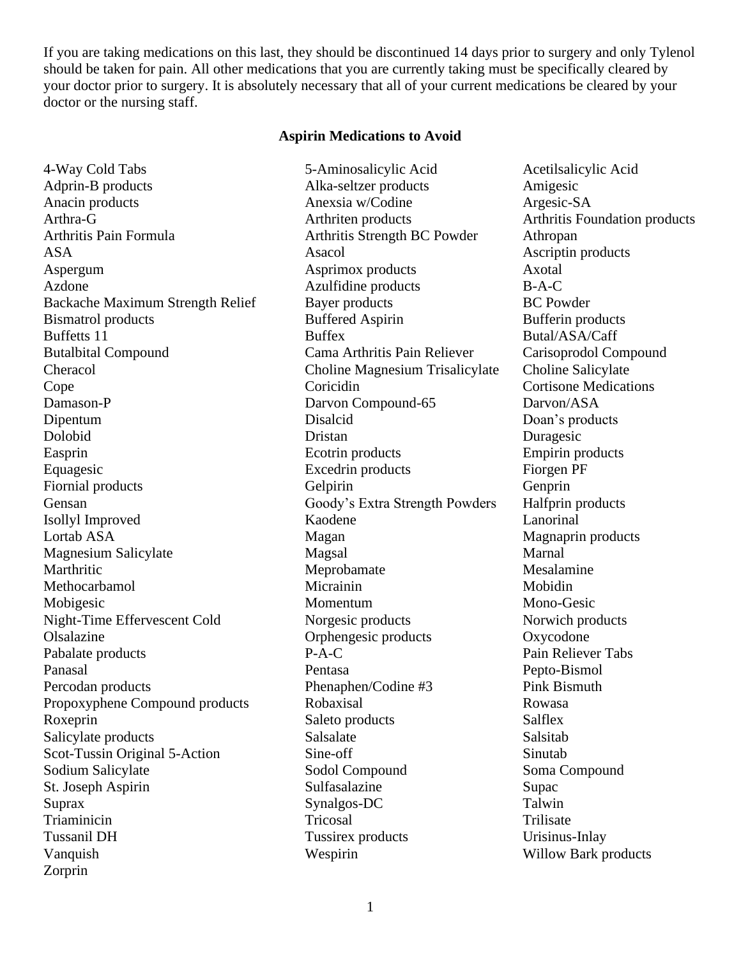If you are taking medications on this last, they should be discontinued 14 days prior to surgery and only Tylenol should be taken for pain. All other medications that you are currently taking must be specifically cleared by your doctor prior to surgery. It is absolutely necessary that all of your current medications be cleared by your doctor or the nursing staff.

### **Aspirin Medications to Avoid**

4-Way Cold Tabs 5-Aminosalicylic Acid Acetilsalicylic Acid Adprin-B products Alka-seltzer products Amigesic Anacin products Anexsia w/Codine Argesic-SA Arthra-G Arthriten products Arthritis Foundation products Arthritis Pain Formula **Arthritis Strength BC Powder** Athropan ASA Asacol Asacol Ascriptin products Aspergum Asprimox products Axotal Azdone Azulfidine products B-A-C Backache Maximum Strength Relief Bayer products BC Powder Bismatrol products Buffered Aspirin Bufferin products Buffetts 11 Buffex Butal/ASA/Caff Butalbital Compound Cama Arthritis Pain Reliever Carisoprodol Compound Cheracol Choline Magnesium Trisalicylate Choline Salicylate Cope Coricidin Cortisone Medications Damason-P Darvon Compound-65 Darvon/ASA Dipentum Disalcid Doan's products Dolobid Dristan Duragesic Easprin Ecotrin products Empirin products Equagesic Excedrin products Fiorgen PF Fiornial products Gelpirin Gelpirin Genprin Gensan Goody's Extra Strength Powders Halfprin products Isollyl Improved Kaodene Lanorinal Lortab ASA Magan Magnaprin products Magnaprin products Magnesium Salicylate Magsal Marnal Magsal Marnal Marthritic Messalamine Messalamine Messalamine Methocarbamol Micrainin Mobidin Mobigesic Momentum Mono-Gesic Night-Time Effervescent Cold Norgesic products Norwich products Olsalazine Orphengesic products Oxycodone Pabalate products P-A-C Pain Reliever Tabs Panasal Pentasa Pepto-Bismol Percodan products Phenaphen/Codine #3 Pink Bismuth Propoxyphene Compound products Robaxisal Rowasa Roxeprin Saleto products Salflex Salicylate products Salsalate Salicylate Salsalate Salicylate Salsalate Salsalate Salsalate Salsalate Salsalate Salsalate Salsalate Salsalate Salsalate Salsalate Salsalate Salsalate Salsalate Salsalate Salsalate Salsalate Scot-Tussin Original 5-Action Sine-off Sinutab Sodium Salicylate Sodol Compound Soma Compound Soma Compound St. Joseph Aspirin Sulfasalazine Supaces Supaces Supaces Super Suprax Synalgos-DC Talwin Triaminicin and the Tricosal Trinitian Trilisate Trilisate Tussanil DH Tussirex products Urisinus-Inlay Vanquish Wespirin Willow Bark products Zorprin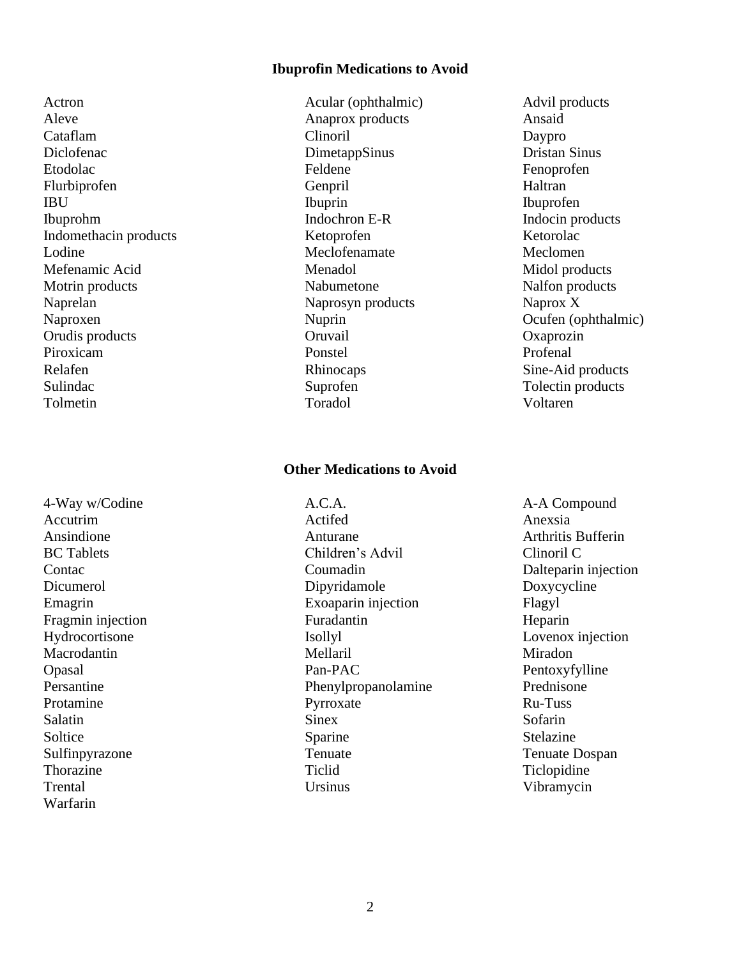### **Ibuprofin Medications to Avoid**

Aleve Anaprox products Ansaid Cataflam Cataflam Clinoril Clinoril Daypro Diclofenac DimetappSinus DimetappSinus Dristan Sinus Etodolac Feldene Fenoprofen Flurbiprofen Genpril Haltran IBU Ibuprin Ibuprin Ibuprofen Ibuprohm Indochron E-R Indocin products Indomethacin products Ketoprofen Ketorolac Lodine Meclofenamate Meclofenamate Meclomen Mefenamic Acid Menadol Menadol Midol products Motrin products Nabumetone Nabumetone Nalfon products Naprelan Naprosyn products Naprox X Naproxen Nuprin Deuten (ophthalmic) Orudis products Oruvail Oxaprozin Piroxicam **Ponstel** Ponstel Profenal Relafen Rhinocaps Sine-Aid products Sulindac Suprofen Tolectin products Tolmetin Toradol Voltaren

4-Way w/Codine  $A.C.A.$  A-A Compound Warfarin

Actron Acular (ophthalmic) Advil products

#### **Other Medications to Avoid**

Accutrim Actifed Anexsia Ansindione Anturane Arthritis Bufferin BC Tablets Children's Advil Clinoril C Contac Coumadin Dalteparin injection Dicumerol Dipyridamole Doxycycline Emagrin Exoaparin injection Flagyl Fragmin injection Furadantin Furadantin Heparin Hydrocortisone Isollyl Lovenox injection Macrodantin Mellaril Mellaril Miradon Opasal Pan-PAC Pentoxyfylline Persantine Prednisone Phenylpropanolamine Prednisone Protamine Pyrroxate Ru-Tuss Salatin Sofarin Sinex Sofarin Sofarin Soltice Sparine Sparine Stelazine Sulfinpyrazone Tenuate Tenuate Tenuate Tenuate Dospan Thorazine Ticlopidine Tickets and Tickets and Tickets and Tickets and Tickets and Tickets and Tickets and Tickets and Tickets and Tickets and Tickets and Tickets and Tickets and Tickets and Tickets and Tickets and Tickets Trental Ursinus Vibramycin